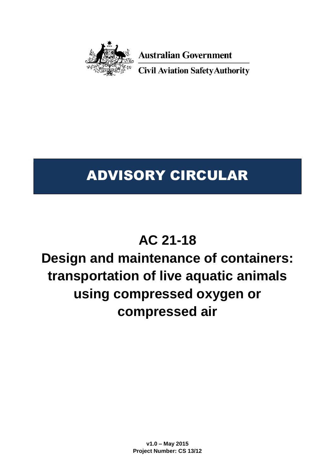

**Australian Government** 

**Civil Aviation Safety Authority** 

# ADVISORY CIRCULAR

# **AC 21-18**

# **Design and maintenance of containers: transportation of live aquatic animals using compressed oxygen or compressed air**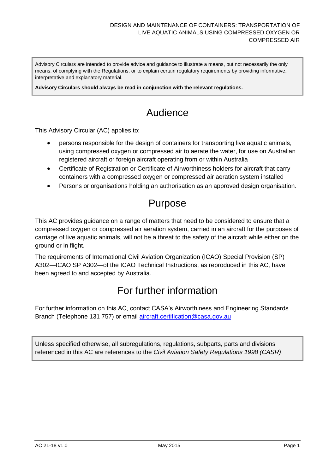Advisory Circulars are intended to provide advice and guidance to illustrate a means, but not necessarily the only means, of complying with the Regulations, or to explain certain regulatory requirements by providing informative, interpretative and explanatory material.

**Advisory Circulars should always be read in conjunction with the relevant regulations.**

# Audience

This Advisory Circular (AC) applies to:

- persons responsible for the design of containers for transporting live aquatic animals, using compressed oxygen or compressed air to aerate the water, for use on Australian registered aircraft or foreign aircraft operating from or within Australia
- Certificate of Registration or Certificate of Airworthiness holders for aircraft that carry containers with a compressed oxygen or compressed air aeration system installed
- Persons or organisations holding an authorisation as an approved design organisation.

## Purpose

This AC provides guidance on a range of matters that need to be considered to ensure that a compressed oxygen or compressed air aeration system, carried in an aircraft for the purposes of carriage of live aquatic animals, will not be a threat to the safety of the aircraft while either on the ground or in flight.

The requirements of International Civil Aviation Organization (ICAO) Special Provision (SP) A302—ICAO SP A302—of the ICAO Technical Instructions, as reproduced in this AC, have been agreed to and accepted by Australia.

# For further information

For further information on this AC, contact CASA's Airworthiness and Engineering Standards Branch (Telephone 131 757) or email [aircraft.certification@casa.gov.au](mailto:aircraft.certification@casa.gov.au)

Unless specified otherwise, all subregulations, regulations, subparts, parts and divisions referenced in this AC are references to the *Civil Aviation Safety Regulations 1998 (CASR)*.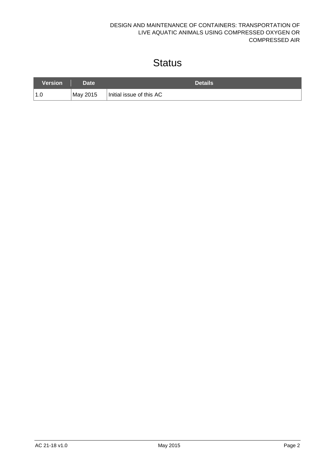#### DESIGN AND MAINTENANCE OF CONTAINERS: TRANSPORTATION OF LIVE AQUATIC ANIMALS USING COMPRESSED OXYGEN OR COMPRESSED AIR

# **Status**

| Version | Date <sup>1</sup> | <b>Details</b>           |
|---------|-------------------|--------------------------|
| 1.0     | May 2015          | Initial issue of this AC |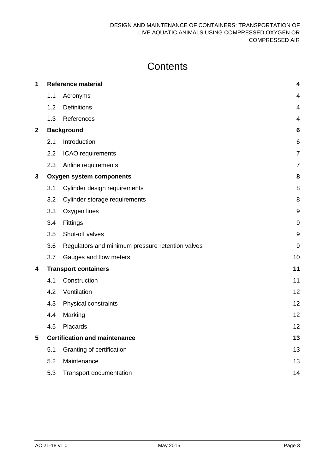# **Contents**

| 1 | <b>Reference material</b>       |                                                  |                |
|---|---------------------------------|--------------------------------------------------|----------------|
|   | 1.1                             | Acronyms                                         | 4              |
|   | 1.2                             | <b>Definitions</b>                               | 4              |
|   | 1.3                             | References                                       | $\overline{4}$ |
| 2 | <b>Background</b>               |                                                  |                |
|   | 2.1                             | Introduction                                     | 6              |
|   | 2.2                             | ICAO requirements                                | $\overline{7}$ |
|   | 2.3                             | Airline requirements                             | $\overline{7}$ |
| 3 | <b>Oxygen system components</b> |                                                  |                |
|   | 3.1                             | Cylinder design requirements                     | 8              |
|   | 3.2                             | Cylinder storage requirements                    | 8              |
|   | 3.3                             | Oxygen lines                                     | 9              |
|   | 3.4                             | Fittings                                         | $9\,$          |
|   | 3.5                             | Shut-off valves                                  | $9\,$          |
|   | 3.6                             | Regulators and minimum pressure retention valves | $9\,$          |
|   | 3.7                             | Gauges and flow meters                           | 10             |
| 4 | <b>Transport containers</b>     | 11                                               |                |
|   | 4.1                             | Construction                                     | 11             |
|   | 4.2                             | Ventilation                                      | 12             |
|   | 4.3                             | Physical constraints                             | 12             |
|   | 4.4                             | Marking                                          | 12             |
|   | 4.5                             | Placards                                         | 12             |
| 5 |                                 | <b>Certification and maintenance</b>             | 13             |
|   | 5.1                             | Granting of certification                        | 13             |
|   | 5.2                             | Maintenance                                      | 13             |
|   | 5.3                             | Transport documentation                          | 14             |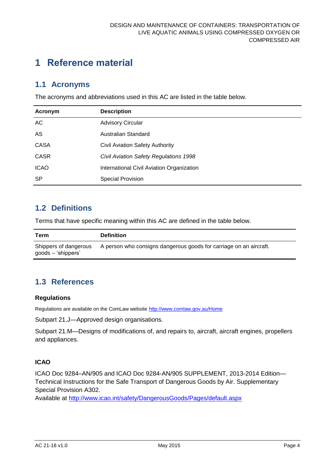# <span id="page-4-0"></span>**1 Reference material**

#### <span id="page-4-1"></span>**1.1 Acronyms**

The acronyms and abbreviations used in this AC are listed in the table below.

| Acronym     | <b>Description</b>                        |
|-------------|-------------------------------------------|
| AC          | <b>Advisory Circular</b>                  |
| AS          | Australian Standard                       |
| <b>CASA</b> | <b>Civil Aviation Safety Authority</b>    |
| <b>CASR</b> | Civil Aviation Safety Regulations 1998    |
| <b>ICAO</b> | International Civil Aviation Organization |
| <b>SP</b>   | <b>Special Provision</b>                  |

## <span id="page-4-2"></span>**1.2 Definitions**

Terms that have specific meaning within this AC are defined in the table below.

| Term                                          | <b>Definition</b>                                                  |
|-----------------------------------------------|--------------------------------------------------------------------|
| Shippers of dangerous<br>$goods - 'shippers'$ | A person who consigns dangerous goods for carriage on an aircraft. |

## <span id="page-4-3"></span>**1.3 References**

#### **Regulations**

Regulations are available on the ComLaw website<http://www.comlaw.gov.au/Home>

Subpart 21.J—Approved design organisations.

Subpart 21.M—Designs of modifications of, and repairs to, aircraft, aircraft engines, propellers and appliances.

#### **ICAO**

ICAO Doc 9284–AN/905 and ICAO Doc 9284-AN/905 SUPPLEMENT, 2013-2014 Edition— Technical Instructions for the Safe Transport of Dangerous Goods by Air. Supplementary Special Provision A302.

Available at<http://www.icao.int/safety/DangerousGoods/Pages/default.aspx>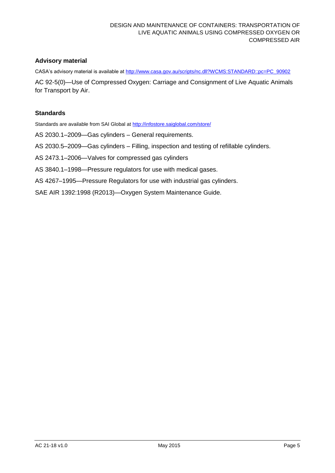#### **Advisory material**

CASA's advisory material is available at [http://www.casa.gov.au/scripts/nc.dll?WCMS:STANDARD::pc=PC\\_90902](http://www.casa.gov.au/scripts/nc.dll?WCMS:STANDARD::pc=PC_90902)

AC 92-5(0)—Use of Compressed Oxygen: Carriage and Consignment of Live Aquatic Animals for Transport by Air.

#### **Standards**

Standards are available from SAI Global at<http://infostore.saiglobal.com/store/>

- AS 2030.1–2009—Gas cylinders General requirements.
- AS 2030.5–2009—Gas cylinders Filling, inspection and testing of refillable cylinders.
- AS 2473.1–2006—Valves for compressed gas cylinders
- AS 3840.1–1998—Pressure regulators for use with medical gases.
- AS 4267–1995—Pressure Regulators for use with industrial gas cylinders.
- SAE AIR 1392:1998 (R2013)—Oxygen System Maintenance Guide.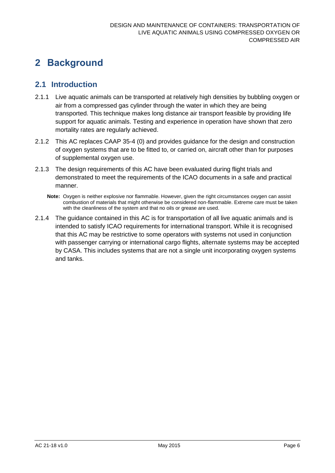# <span id="page-6-0"></span>**2 Background**

## <span id="page-6-1"></span>**2.1 Introduction**

- 2.1.1 Live aquatic animals can be transported at relatively high densities by bubbling oxygen or air from a compressed gas cylinder through the water in which they are being transported. This technique makes long distance air transport feasible by providing life support for aquatic animals. Testing and experience in operation have shown that zero mortality rates are regularly achieved.
- 2.1.2 This AC replaces CAAP 35-4 (0) and provides guidance for the design and construction of oxygen systems that are to be fitted to, or carried on, aircraft other than for purposes of supplemental oxygen use.
- 2.1.3 The design requirements of this AC have been evaluated during flight trials and demonstrated to meet the requirements of the ICAO documents in a safe and practical manner.
	- **Note:** Oxygen is neither explosive nor flammable. However, given the right circumstances oxygen can assist combustion of materials that might otherwise be considered non-flammable. Extreme care must be taken with the cleanliness of the system and that no oils or grease are used.
- 2.1.4 The guidance contained in this AC is for transportation of all live aquatic animals and is intended to satisfy ICAO requirements for international transport. While it is recognised that this AC may be restrictive to some operators with systems not used in conjunction with passenger carrying or international cargo flights, alternate systems may be accepted by CASA. This includes systems that are not a single unit incorporating oxygen systems and tanks.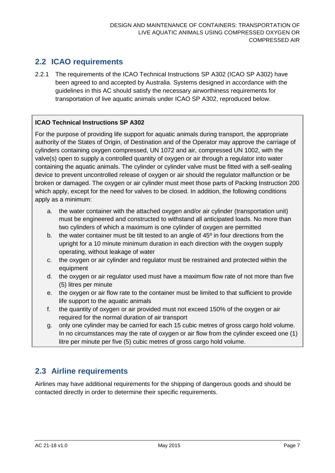## <span id="page-7-0"></span>**2.2 ICAO requirements**

2.2.1 The requirements of the ICAO Technical Instructions SP A302 (ICAO SP A302) have been agreed to and accepted by Australia. Systems designed in accordance with the guidelines in this AC should satisfy the necessary airworthiness requirements for transportation of live aquatic animals under ICAO SP A302, reproduced below.

#### **ICAO Technical Instructions SP A302**

For the purpose of providing life support for aquatic animals during transport, the appropriate authority of the States of Origin, of Destination and of the Operator may approve the carriage of cylinders containing oxygen compressed, UN 1072 and air, compressed UN 1002, with the valve(s) open to supply a controlled quantity of oxygen or air through a regulator into water containing the aquatic animals. The cylinder or cylinder valve must be fitted with a self-sealing device to prevent uncontrolled release of oxygen or air should the regulator malfunction or be broken or damaged. The oxygen or air cylinder must meet those parts of Packing Instruction 200 which apply, except for the need for valves to be closed. In addition, the following conditions apply as a minimum:

- a. the water container with the attached oxygen and/or air cylinder (transportation unit) must be engineered and constructed to withstand all anticipated loads. No more than two cylinders of which a maximum is one cylinder of oxygen are permitted
- b. the water container must be tilt tested to an angle of 45º in four directions from the upright for a 10 minute minimum duration in each direction with the oxygen supply operating, without leakage of water
- c. the oxygen or air cylinder and regulator must be restrained and protected within the equipment
- d. the oxygen or air regulator used must have a maximum flow rate of not more than five (5) litres per minute
- e. the oxygen or air flow rate to the container must be limited to that sufficient to provide life support to the aquatic animals
- f. the quantity of oxygen or air provided must not exceed 150% of the oxygen or air required for the normal duration of air transport
- g. only one cylinder may be carried for each 15 cubic metres of gross cargo hold volume. In no circumstances may the rate of oxygen or air flow from the cylinder exceed one (1) litre per minute per five (5) cubic metres of gross cargo hold volume.

## <span id="page-7-1"></span>**2.3 Airline requirements**

Airlines may have additional requirements for the shipping of dangerous goods and should be contacted directly in order to determine their specific requirements.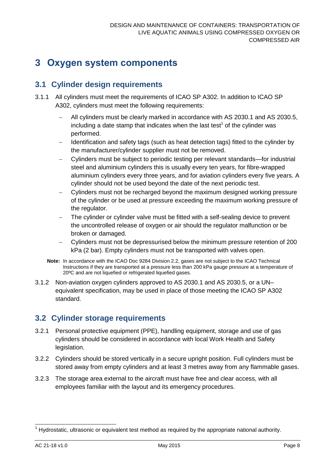## <span id="page-8-0"></span>**3 Oxygen system components**

## <span id="page-8-1"></span>**3.1 Cylinder design requirements**

- 3.1.1 All cylinders must meet the requirements of ICAO SP A302. In addition to ICAO SP A302, cylinders must meet the following requirements:
	- All cylinders must be clearly marked in accordance with AS 2030.1 and AS 2030.5, including a date stamp that indicates when the last test<sup>1</sup> of the cylinder was performed.
	- Identification and safety tags (such as heat detection tags) fitted to the cylinder by the manufacturer/cylinder supplier must not be removed.
	- Cylinders must be subject to periodic testing per relevant standards—for industrial steel and aluminium cylinders this is usually every ten years, for fibre-wrapped aluminium cylinders every three years, and for aviation cylinders every five years. A cylinder should not be used beyond the date of the next periodic test.
	- Cylinders must not be recharged beyond the maximum designed working pressure of the cylinder or be used at pressure exceeding the maximum working pressure of the regulator.
	- The cylinder or cylinder valve must be fitted with a self-sealing device to prevent the uncontrolled release of oxygen or air should the regulator malfunction or be broken or damaged.
	- Cylinders must not be depressurised below the minimum pressure retention of 200 kPa (2 bar). Empty cylinders must not be transported with valves open.
	- **Note:** In accordance with the ICAO Doc 9284 Division 2.2, gases are not subject to the ICAO Technical Instructions if they are transported at a pressure less than 200 kPa gauge pressure at a temperature of 20ºC and are not liquefied or refrigerated liquefied gases.
- 3.1.2 Non-aviation oxygen cylinders approved to AS 2030.1 and AS 2030.5, or a UN– equivalent specification, may be used in place of those meeting the ICAO SP A302 standard.

## <span id="page-8-2"></span>**3.2 Cylinder storage requirements**

- 3.2.1 Personal protective equipment (PPE), handling equipment, storage and use of gas cylinders should be considered in accordance with local Work Health and Safety legislation.
- 3.2.2 Cylinders should be stored vertically in a secure upright position. Full cylinders must be stored away from empty cylinders and at least 3 metres away from any flammable gases.
- 3.2.3 The storage area external to the aircraft must have free and clear access, with all employees familiar with the layout and its emergency procedures.

l  $1$  Hydrostatic, ultrasonic or equivalent test method as required by the appropriate national authority.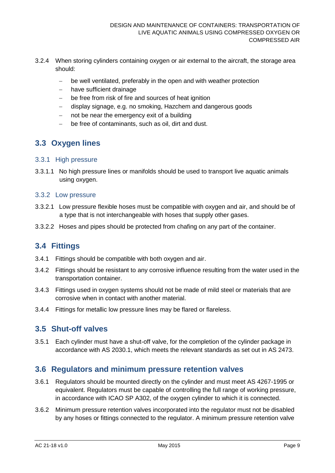- 3.2.4 When storing cylinders containing oxygen or air external to the aircraft, the storage area should:
	- be well ventilated, preferably in the open and with weather protection
	- have sufficient drainage
	- be free from risk of fire and sources of heat ignition
	- display signage, e.g. no smoking, Hazchem and dangerous goods
	- $-$  not be near the emergency exit of a building
	- be free of contaminants, such as oil, dirt and dust.

## <span id="page-9-0"></span>**3.3 Oxygen lines**

#### 3.3.1 High pressure

3.3.1.1 No high pressure lines or manifolds should be used to transport live aquatic animals using oxygen.

#### 3.3.2 Low pressure

- 3.3.2.1 Low pressure flexible hoses must be compatible with oxygen and air, and should be of a type that is not interchangeable with hoses that supply other gases.
- 3.3.2.2 Hoses and pipes should be protected from chafing on any part of the container.

#### <span id="page-9-1"></span>**3.4 Fittings**

- 3.4.1 Fittings should be compatible with both oxygen and air.
- 3.4.2 Fittings should be resistant to any corrosive influence resulting from the water used in the transportation container.
- 3.4.3 Fittings used in oxygen systems should not be made of mild steel or materials that are corrosive when in contact with another material.
- 3.4.4 Fittings for metallic low pressure lines may be flared or flareless.

#### <span id="page-9-2"></span>**3.5 Shut-off valves**

3.5.1 Each cylinder must have a shut-off valve, for the completion of the cylinder package in accordance with AS 2030.1, which meets the relevant standards as set out in AS 2473.

#### <span id="page-9-3"></span>**3.6 Regulators and minimum pressure retention valves**

- 3.6.1 Regulators should be mounted directly on the cylinder and must meet AS 4267-1995 or equivalent. Regulators must be capable of controlling the full range of working pressure, in accordance with ICAO SP A302, of the oxygen cylinder to which it is connected.
- 3.6.2 Minimum pressure retention valves incorporated into the regulator must not be disabled by any hoses or fittings connected to the regulator. A minimum pressure retention valve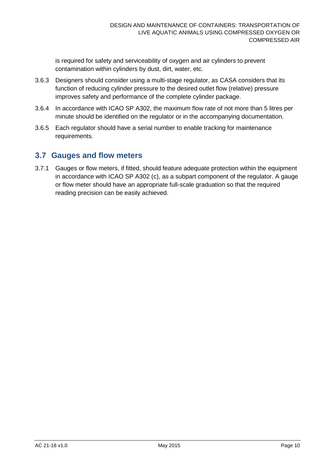is required for safety and serviceability of oxygen and air cylinders to prevent contamination within cylinders by dust, dirt, water, etc.

- 3.6.3 Designers should consider using a multi-stage regulator, as CASA considers that its function of reducing cylinder pressure to the desired outlet flow (relative) pressure improves safety and performance of the complete cylinder package.
- 3.6.4 In accordance with ICAO SP A302, the maximum flow rate of not more than 5 litres per minute should be identified on the regulator or in the accompanying documentation.
- 3.6.5 Each regulator should have a serial number to enable tracking for maintenance requirements.

#### <span id="page-10-0"></span>**3.7 Gauges and flow meters**

3.7.1 Gauges or flow meters, if fitted, should feature adequate protection within the equipment in accordance with ICAO SP A302 (c), as a subpart component of the regulator. A gauge or flow meter should have an appropriate full-scale graduation so that the required reading precision can be easily achieved.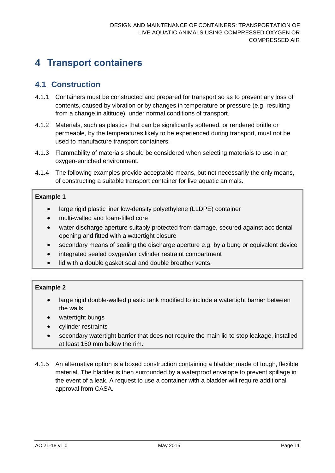# <span id="page-11-0"></span>**4 Transport containers**

## <span id="page-11-1"></span>**4.1 Construction**

- 4.1.1 Containers must be constructed and prepared for transport so as to prevent any loss of contents, caused by vibration or by changes in temperature or pressure (e.g. resulting from a change in altitude), under normal conditions of transport.
- 4.1.2 Materials, such as plastics that can be significantly softened, or rendered brittle or permeable, by the temperatures likely to be experienced during transport, must not be used to manufacture transport containers.
- 4.1.3 Flammability of materials should be considered when selecting materials to use in an oxygen-enriched environment.
- 4.1.4 The following examples provide acceptable means, but not necessarily the only means, of constructing a suitable transport container for live aquatic animals.

#### **Example 1**

- large rigid plastic liner low-density polyethylene (LLDPE) container
- multi-walled and foam-filled core
- water discharge aperture suitably protected from damage, secured against accidental opening and fitted with a watertight closure
- secondary means of sealing the discharge aperture e.g. by a bung or equivalent device
- integrated sealed oxygen/air cylinder restraint compartment
- lid with a double gasket seal and double breather vents.

#### **Example 2**

- large rigid double-walled plastic tank modified to include a watertight barrier between the walls
- watertight bungs
- cylinder restraints
- secondary watertight barrier that does not require the main lid to stop leakage, installed at least 150 mm below the rim.
- 4.1.5 An alternative option is a boxed construction containing a bladder made of tough, flexible material. The bladder is then surrounded by a waterproof envelope to prevent spillage in the event of a leak. A request to use a container with a bladder will require additional approval from CASA.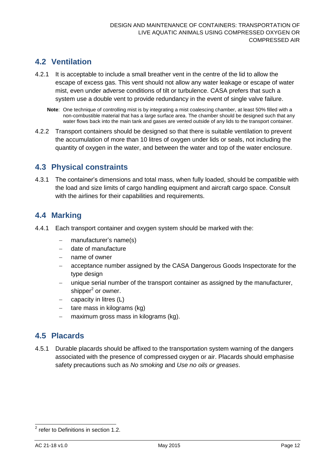## <span id="page-12-0"></span>**4.2 Ventilation**

- 4.2.1 It is acceptable to include a small breather vent in the centre of the lid to allow the escape of excess gas. This vent should not allow any water leakage or escape of water mist, even under adverse conditions of tilt or turbulence. CASA prefers that such a system use a double vent to provide redundancy in the event of single valve failure.
	- **Note**: One technique of controlling mist is by integrating a mist coalescing chamber, at least 50% filled with a non-combustible material that has a large surface area. The chamber should be designed such that any water flows back into the main tank and gases are vented outside of any lids to the transport container.
- 4.2.2 Transport containers should be designed so that there is suitable ventilation to prevent the accumulation of more than 10 litres of oxygen under lids or seals, not including the quantity of oxygen in the water, and between the water and top of the water enclosure.

#### <span id="page-12-1"></span>**4.3 Physical constraints**

4.3.1 The container's dimensions and total mass, when fully loaded, should be compatible with the load and size limits of cargo handling equipment and aircraft cargo space. Consult with the airlines for their capabilities and requirements.

#### <span id="page-12-2"></span>**4.4 Marking**

- 4.4.1 Each transport container and oxygen system should be marked with the:
	- manufacturer's name(s)
	- date of manufacture
	- name of owner
	- acceptance number assigned by the CASA Dangerous Goods Inspectorate for the type design
	- unique serial number of the transport container as assigned by the manufacturer, shipper<sup>2</sup> or owner.
	- capacity in litres (L)
	- tare mass in kilograms (kg)
	- maximum gross mass in kilograms (kg).

#### <span id="page-12-3"></span>**4.5 Placards**

4.5.1 Durable placards should be affixed to the transportation system warning of the dangers associated with the presence of compressed oxygen or air. Placards should emphasise safety precautions such as *No smoking* and *Use no oils or greases*.

 2 refer to Definitions in section 1.2.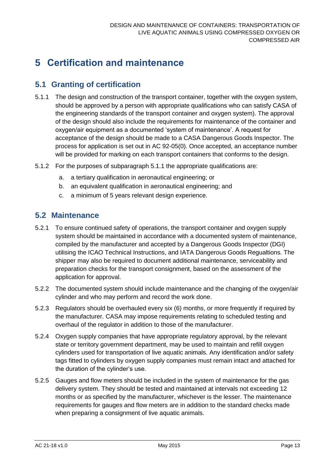# <span id="page-13-0"></span>**5 Certification and maintenance**

## <span id="page-13-1"></span>**5.1 Granting of certification**

- 5.1.1 The design and construction of the transport container, together with the oxygen system, should be approved by a person with appropriate qualifications who can satisfy CASA of the engineering standards of the transport container and oxygen system). The approval of the design should also include the requirements for maintenance of the container and oxygen/air equipment as a documented 'system of maintenance'. A request for acceptance of the design should be made to a CASA Dangerous Goods Inspector. The process for application is set out in AC 92-05(0). Once accepted, an acceptance number will be provided for marking on each transport containers that conforms to the design.
- 5.1.2 For the purposes of subparagraph 5.1.1 the appropriate qualifications are:
	- a. a tertiary qualification in aeronautical engineering; or
	- b. an equivalent qualification in aeronautical engineering; and
	- c. a minimum of 5 years relevant design experience.

#### <span id="page-13-2"></span>**5.2 Maintenance**

- 5.2.1 To ensure continued safety of operations, the transport container and oxygen supply system should be maintained in accordance with a documented system of maintenance, compiled by the manufacturer and accepted by a Dangerous Goods Inspector (DGI) utilising the ICAO Technical Instructions, and IATA Dangerous Goods Regualtions. The shipper may also be required to document additional maintenance, serviceability and preparation checks for the transport consignment, based on the assessment of the application for approval.
- 5.2.2 The documented system should include maintenance and the changing of the oxygen/air cylinder and who may perform and record the work done.
- 5.2.3 Regulators should be overhauled every six (6) months, or more frequently if required by the manufacturer. CASA may impose requirements relating to scheduled testing and overhaul of the regulator in addition to those of the manufacturer.
- 5.2.4 Oxygen supply companies that have appropriate regulatory approval, by the relevant state or territory government department, may be used to maintain and refill oxygen cylinders used for transportation of live aquatic animals. Any identification and/or safety tags fitted to cylinders by oxygen supply companies must remain intact and attached for the duration of the cylinder's use.
- 5.2.5 Gauges and flow meters should be included in the system of maintenance for the gas delivery system. They should be tested and maintained at intervals not exceeding 12 months or as specified by the manufacturer, whichever is the lesser. The maintenance requirements for gauges and flow meters are in addition to the standard checks made when preparing a consignment of live aquatic animals.